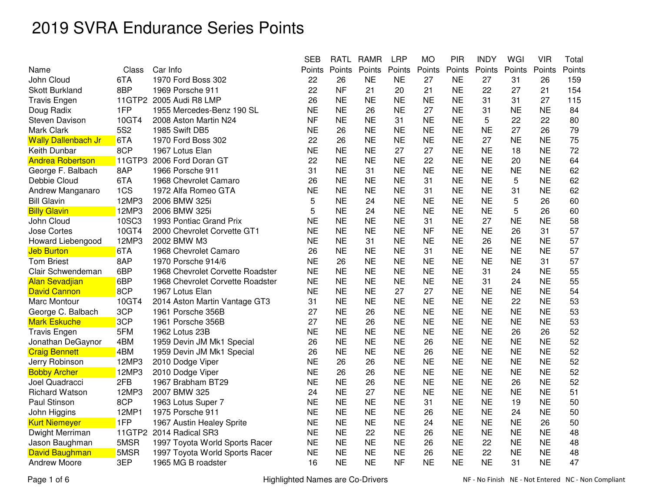|                            |                 |                                  | <b>SEB</b> | <b>RATL</b> | <b>RAMR</b> | <b>LRP</b> | <b>MO</b> | <b>PIR</b> | <b>INDY</b> | WGI       | <b>VIR</b> | Total  |
|----------------------------|-----------------|----------------------------------|------------|-------------|-------------|------------|-----------|------------|-------------|-----------|------------|--------|
| Name                       | Class           | Car Info                         | Points     | Points      | Points      | Points     | Points    | Points     | Points      | Points    | Points     | Points |
| John Cloud                 | 6TA             | 1970 Ford Boss 302               | 22         | 26          | <b>NE</b>   | <b>NE</b>  | 27        | <b>NE</b>  | 27          | 31        | 26         | 159    |
| <b>Skott Burkland</b>      | 8BP             | 1969 Porsche 911                 | 22         | <b>NF</b>   | 21          | 20         | 21        | <b>NE</b>  | 22          | 27        | 21         | 154    |
| <b>Travis Engen</b>        | 11GTP2          | 2005 Audi R8 LMP                 | 26         | <b>NE</b>   | <b>NE</b>   | <b>NE</b>  | <b>NE</b> | <b>NE</b>  | 31          | 31        | 27         | 115    |
| Doug Radix                 | 1FP             | 1955 Mercedes-Benz 190 SL        | <b>NE</b>  | <b>NE</b>   | 26          | <b>NE</b>  | 27        | <b>NE</b>  | 31          | <b>NE</b> | <b>NE</b>  | 84     |
| Steven Davison             | 10GT4           | 2008 Aston Martin N24            | <b>NF</b>  | <b>NE</b>   | <b>NE</b>   | 31         | <b>NE</b> | <b>NE</b>  | 5           | 22        | 22         | 80     |
| Mark Clark                 | 5S <sub>2</sub> | 1985 Swift DB5                   | <b>NE</b>  | 26          | <b>NE</b>   | <b>NE</b>  | <b>NE</b> | <b>NE</b>  | <b>NE</b>   | 27        | 26         | 79     |
| <b>Wally Dallenbach Jr</b> | 6TA             | 1970 Ford Boss 302               | 22         | 26          | <b>NE</b>   | <b>NE</b>  | <b>NE</b> | <b>NE</b>  | 27          | <b>NE</b> | <b>NE</b>  | 75     |
| Keith Dunbar               | 8CP             | 1967 Lotus Elan                  | <b>NE</b>  | <b>NE</b>   | <b>NE</b>   | 27         | 27        | <b>NE</b>  | <b>NE</b>   | 18        | <b>NE</b>  | 72     |
| <b>Andrea Robertson</b>    | 11GTP3          | 2006 Ford Doran GT               | 22         | <b>NE</b>   | <b>NE</b>   | <b>NE</b>  | 22        | <b>NE</b>  | <b>NE</b>   | 20        | <b>NE</b>  | 64     |
| George F. Balbach          | 8AP             | 1966 Porsche 911                 | 31         | <b>NE</b>   | 31          | <b>NE</b>  | <b>NE</b> | <b>NE</b>  | <b>NE</b>   | <b>NE</b> | <b>NE</b>  | 62     |
| Debbie Cloud               | 6TA             | 1968 Chevrolet Camaro            | 26         | <b>NE</b>   | <b>NE</b>   | <b>NE</b>  | 31        | <b>NE</b>  | <b>NE</b>   | 5         | <b>NE</b>  | 62     |
| Andrew Manganaro           | 1CS             | 1972 Alfa Romeo GTA              | <b>NE</b>  | <b>NE</b>   | <b>NE</b>   | <b>NE</b>  | 31        | <b>NE</b>  | <b>NE</b>   | 31        | <b>NE</b>  | 62     |
| <b>Bill Glavin</b>         | 12MP3           | 2006 BMW 325i                    | 5          | <b>NE</b>   | 24          | <b>NE</b>  | <b>NE</b> | <b>NE</b>  | <b>NE</b>   | 5         | 26         | 60     |
| <b>Billy Glavin</b>        | 12MP3           | 2006 BMW 325i                    | 5          | <b>NE</b>   | 24          | <b>NE</b>  | <b>NE</b> | <b>NE</b>  | <b>NE</b>   | 5         | 26         | 60     |
| John Cloud                 | 10SC3           | 1993 Pontiac Grand Prix          | <b>NE</b>  | <b>NE</b>   | <b>NE</b>   | <b>NE</b>  | 31        | <b>NE</b>  | 27          | <b>NE</b> | <b>NE</b>  | 58     |
| Jose Cortes                | 10GT4           | 2000 Chevrolet Corvette GT1      | <b>NE</b>  | <b>NE</b>   | <b>NE</b>   | <b>NE</b>  | <b>NF</b> | <b>NE</b>  | <b>NE</b>   | 26        | 31         | 57     |
| Howard Liebengood          | 12MP3           | 2002 BMW M3                      | <b>NE</b>  | <b>NE</b>   | 31          | <b>NE</b>  | <b>NE</b> | <b>NE</b>  | 26          | <b>NE</b> | <b>NE</b>  | 57     |
| <b>Jeb Burton</b>          | 6TA             | 1968 Chevrolet Camaro            | 26         | <b>NE</b>   | <b>NE</b>   | <b>NE</b>  | 31        | <b>NE</b>  | <b>NE</b>   | <b>NE</b> | <b>NE</b>  | 57     |
| <b>Tom Briest</b>          | 8AP             | 1970 Porsche 914/6               | <b>NE</b>  | 26          | <b>NE</b>   | <b>NE</b>  | <b>NE</b> | <b>NE</b>  | <b>NE</b>   | <b>NE</b> | 31         | 57     |
| Clair Schwendeman          | 6BP             | 1968 Chevrolet Corvette Roadster | <b>NE</b>  | <b>NE</b>   | <b>NE</b>   | <b>NE</b>  | <b>NE</b> | <b>NE</b>  | 31          | 24        | <b>NE</b>  | 55     |
| <b>Alan Sevadjian</b>      | 6BP             | 1968 Chevrolet Corvette Roadster | <b>NE</b>  | <b>NE</b>   | <b>NE</b>   | <b>NE</b>  | <b>NE</b> | <b>NE</b>  | 31          | 24        | <b>NE</b>  | 55     |
| <b>David Cannon</b>        | 8CP             | 1967 Lotus Elan                  | <b>NE</b>  | <b>NE</b>   | <b>NE</b>   | 27         | 27        | <b>NE</b>  | <b>NE</b>   | <b>NE</b> | <b>NE</b>  | 54     |
| Marc Montour               | 10GT4           | 2014 Aston Martin Vantage GT3    | 31         | <b>NE</b>   | <b>NE</b>   | <b>NE</b>  | <b>NE</b> | <b>NE</b>  | <b>NE</b>   | 22        | <b>NE</b>  | 53     |
| George C. Balbach          | 3CP             | 1961 Porsche 356B                | 27         | <b>NE</b>   | 26          | <b>NE</b>  | <b>NE</b> | <b>NE</b>  | <b>NE</b>   | <b>NE</b> | <b>NE</b>  | 53     |
| <b>Mark Eskuche</b>        | 3CP             | 1961 Porsche 356B                | 27         | <b>NE</b>   | 26          | <b>NE</b>  | <b>NE</b> | <b>NE</b>  | <b>NE</b>   | <b>NE</b> | <b>NE</b>  | 53     |
| <b>Travis Engen</b>        | 5FM             | 1962 Lotus 23B                   | <b>NE</b>  | <b>NE</b>   | <b>NE</b>   | <b>NE</b>  | <b>NE</b> | <b>NE</b>  | <b>NE</b>   | 26        | 26         | 52     |
| Jonathan DeGaynor          | 4BM             | 1959 Devin JM Mk1 Special        | 26         | <b>NE</b>   | <b>NE</b>   | <b>NE</b>  | 26        | <b>NE</b>  | <b>NE</b>   | ΝE        | <b>NE</b>  | 52     |
| <b>Craig Bennett</b>       | 4BM             | 1959 Devin JM Mk1 Special        | 26         | <b>NE</b>   | <b>NE</b>   | <b>NE</b>  | 26        | <b>NE</b>  | <b>NE</b>   | <b>NE</b> | <b>NE</b>  | 52     |
| Jerry Robinson             | 12MP3           | 2010 Dodge Viper                 | <b>NE</b>  | 26          | 26          | <b>NE</b>  | <b>NE</b> | <b>NE</b>  | <b>NE</b>   | <b>NE</b> | <b>NE</b>  | 52     |
| <b>Bobby Archer</b>        | 12MP3           | 2010 Dodge Viper                 | <b>NE</b>  | 26          | 26          | <b>NE</b>  | <b>NE</b> | <b>NE</b>  | <b>NE</b>   | <b>NE</b> | <b>NE</b>  | 52     |
| Joel Quadracci             | 2FB             | 1967 Brabham BT29                | <b>NE</b>  | <b>NE</b>   | 26          | <b>NE</b>  | <b>NE</b> | <b>NE</b>  | <b>NE</b>   | 26        | <b>NE</b>  | 52     |
| <b>Richard Watson</b>      | 12MP3           | 2007 BMW 325                     | 24         | <b>NE</b>   | 27          | <b>NE</b>  | <b>NE</b> | <b>NE</b>  | <b>NE</b>   | <b>NE</b> | <b>NE</b>  | 51     |
| Paul Stinson               | 8CP             | 1963 Lotus Super 7               | <b>NE</b>  | <b>NE</b>   | <b>NE</b>   | <b>NE</b>  | 31        | <b>NE</b>  | <b>NE</b>   | 19        | <b>NE</b>  | 50     |
| John Higgins               | 12MP1           | 1975 Porsche 911                 | <b>NE</b>  | <b>NE</b>   | <b>NE</b>   | <b>NE</b>  | 26        | <b>NE</b>  | <b>NE</b>   | 24        | <b>NE</b>  | 50     |
| <b>Kurt Niemeyer</b>       | 1FP             | 1967 Austin Healey Sprite        | <b>NE</b>  | <b>NE</b>   | <b>NE</b>   | <b>NE</b>  | 24        | <b>NE</b>  | <b>NE</b>   | <b>NE</b> | 26         | 50     |
| Dwight Merriman            |                 | 11GTP2 2014 Radical SR3          | <b>NE</b>  | <b>NE</b>   | 22          | <b>NE</b>  | 26        | <b>NE</b>  | <b>NE</b>   | <b>NE</b> | <b>NE</b>  | 48     |
| Jason Baughman             | 5MSR            | 1997 Toyota World Sports Racer   | <b>NE</b>  | <b>NE</b>   | <b>NE</b>   | <b>NE</b>  | 26        | <b>NE</b>  | 22          | <b>NE</b> | <b>NE</b>  | 48     |
| David Baughman             | 5MSR            | 1997 Toyota World Sports Racer   | <b>NE</b>  | <b>NE</b>   | <b>NE</b>   | <b>NE</b>  | 26        | <b>NE</b>  | 22          | <b>NE</b> | <b>NE</b>  | 48     |
| <b>Andrew Moore</b>        | 3EP             | 1965 MG B roadster               | 16         | <b>NE</b>   | <b>NE</b>   | <b>NF</b>  | <b>NE</b> | <b>NE</b>  | <b>NE</b>   | 31        | <b>NE</b>  | 47     |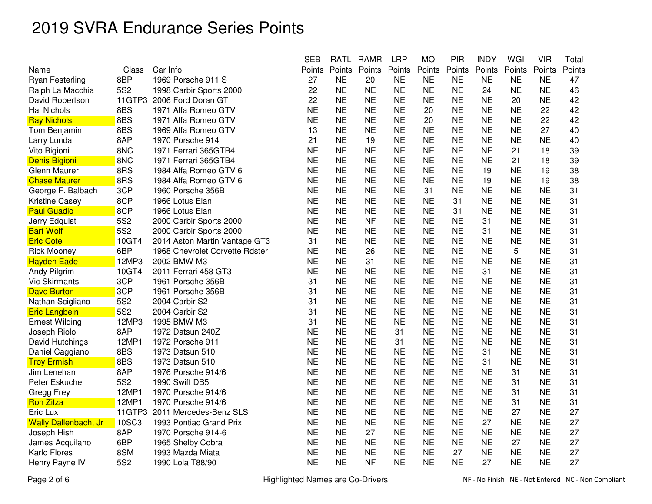|                             |                 |                                | <b>SEB</b> | <b>RATL</b> | <b>RAMR</b> | <b>LRP</b> | <b>MO</b> | <b>PIR</b> | <b>INDY</b> | WGI       | <b>VIR</b> | Total  |
|-----------------------------|-----------------|--------------------------------|------------|-------------|-------------|------------|-----------|------------|-------------|-----------|------------|--------|
| Name                        | Class           | Car Info                       | Points     | Points      | Points      | Points     | Points    | Points     | Points      | Points    | Points     | Points |
| <b>Ryan Festerling</b>      | 8BP             | 1969 Porsche 911 S             | 27         | <b>NE</b>   | 20          | <b>NE</b>  | <b>NE</b> | <b>NE</b>  | <b>NE</b>   | <b>NE</b> | <b>NE</b>  | 47     |
| Ralph La Macchia            | <b>5S2</b>      | 1998 Carbir Sports 2000        | 22         | <b>NE</b>   | <b>NE</b>   | <b>NE</b>  | <b>NE</b> | <b>NE</b>  | 24          | <b>NE</b> | <b>NE</b>  | 46     |
| David Robertson             | 11GTP3          | 2006 Ford Doran GT             | 22         | <b>NE</b>   | <b>NE</b>   | <b>NE</b>  | <b>NE</b> | <b>NE</b>  | <b>NE</b>   | 20        | <b>NE</b>  | 42     |
| <b>Hal Nichols</b>          | 8BS             | 1971 Alfa Romeo GTV            | <b>NE</b>  | <b>NE</b>   | <b>NE</b>   | <b>NE</b>  | 20        | <b>NE</b>  | <b>NE</b>   | <b>NE</b> | 22         | 42     |
| <b>Ray Nichols</b>          | 8BS             | 1971 Alfa Romeo GTV            | <b>NE</b>  | <b>NE</b>   | <b>NE</b>   | <b>NE</b>  | 20        | <b>NE</b>  | <b>NE</b>   | NE        | 22         | 42     |
| Tom Benjamin                | 8BS             | 1969 Alfa Romeo GTV            | 13         | <b>NE</b>   | <b>NE</b>   | <b>NE</b>  | <b>NE</b> | <b>NE</b>  | <b>NE</b>   | NΕ        | 27         | 40     |
| Larry Lunda                 | 8AP             | 1970 Porsche 914               | 21         | <b>NE</b>   | 19          | <b>NE</b>  | <b>NE</b> | <b>NE</b>  | <b>NE</b>   | <b>NE</b> | <b>NE</b>  | 40     |
| Vito Bigioni                | 8NC             | 1971 Ferrari 365GTB4           | <b>NE</b>  | <b>NE</b>   | <b>NE</b>   | <b>NE</b>  | <b>NE</b> | <b>NE</b>  | <b>NE</b>   | 21        | 18         | 39     |
| <b>Denis Bigioni</b>        | 8NC             | 1971 Ferrari 365GTB4           | <b>NE</b>  | <b>NE</b>   | <b>NE</b>   | <b>NE</b>  | <b>NE</b> | <b>NE</b>  | <b>NE</b>   | 21        | 18         | 39     |
| Glenn Maurer                | 8RS             | 1984 Alfa Romeo GTV 6          | <b>NE</b>  | <b>NE</b>   | <b>NE</b>   | <b>NE</b>  | <b>NE</b> | <b>NE</b>  | 19          | <b>NE</b> | 19         | 38     |
| <b>Chase Maurer</b>         | 8RS             | 1984 Alfa Romeo GTV 6          | <b>NE</b>  | <b>NE</b>   | <b>NE</b>   | <b>NE</b>  | <b>NE</b> | <b>NE</b>  | 19          | <b>NE</b> | 19         | 38     |
| George F. Balbach           | 3CP             | 1960 Porsche 356B              | <b>NE</b>  | <b>NE</b>   | <b>NE</b>   | <b>NE</b>  | 31        | <b>NE</b>  | <b>NE</b>   | <b>NE</b> | <b>NE</b>  | 31     |
| <b>Kristine Casey</b>       | 8CP             | 1966 Lotus Elan                | <b>NE</b>  | <b>NE</b>   | <b>NE</b>   | <b>NE</b>  | <b>NE</b> | 31         | <b>NE</b>   | <b>NE</b> | <b>NE</b>  | 31     |
| <b>Paul Guadio</b>          | 8CP             | 1966 Lotus Elan                | <b>NE</b>  | <b>NE</b>   | <b>NE</b>   | <b>NE</b>  | <b>NE</b> | 31         | <b>NE</b>   | <b>NE</b> | <b>NE</b>  | 31     |
| Jerry Edquist               | <b>5S2</b>      | 2000 Carbir Sports 2000        | <b>NE</b>  | <b>NE</b>   | <b>NF</b>   | <b>NE</b>  | <b>NE</b> | <b>NE</b>  | 31          | <b>NE</b> | <b>NE</b>  | 31     |
| <b>Bart Wolf</b>            | <b>5S2</b>      | 2000 Carbir Sports 2000        | <b>NE</b>  | <b>NE</b>   | <b>NE</b>   | <b>NE</b>  | <b>NE</b> | <b>NE</b>  | 31          | NΕ        | <b>NE</b>  | 31     |
| <b>Eric Cote</b>            | 10GT4           | 2014 Aston Martin Vantage GT3  | 31         | <b>NE</b>   | <b>NE</b>   | <b>NE</b>  | <b>NE</b> | <b>NE</b>  | <b>NE</b>   | <b>NE</b> | <b>NE</b>  | 31     |
| <b>Rick Mooney</b>          | 6BP             | 1968 Chevrolet Corvette Rdster | <b>NE</b>  | <b>NE</b>   | 26          | <b>NE</b>  | <b>NE</b> | <b>NE</b>  | <b>NE</b>   | 5         | <b>NE</b>  | 31     |
| <b>Hayden Eade</b>          | 12MP3           | 2002 BMW M3                    | <b>NE</b>  | <b>NE</b>   | 31          | <b>NE</b>  | <b>NE</b> | <b>NE</b>  | <b>NE</b>   | <b>NE</b> | <b>NE</b>  | 31     |
| Andy Pilgrim                | 10GT4           | 2011 Ferrari 458 GT3           | <b>NE</b>  | <b>NE</b>   | <b>NE</b>   | <b>NE</b>  | <b>NE</b> | <b>NE</b>  | 31          | <b>NE</b> | <b>NE</b>  | 31     |
| <b>Vic Skirmants</b>        | 3CP             | 1961 Porsche 356B              | 31         | <b>NE</b>   | <b>NE</b>   | <b>NE</b>  | <b>NE</b> | <b>NE</b>  | <b>NE</b>   | <b>NE</b> | <b>NE</b>  | 31     |
| <b>Dave Burton</b>          | 3CP             | 1961 Porsche 356B              | 31         | <b>NE</b>   | <b>NE</b>   | <b>NE</b>  | <b>NE</b> | <b>NE</b>  | <b>NE</b>   | <b>NE</b> | <b>NE</b>  | 31     |
| Nathan Scigliano            | <b>5S2</b>      | 2004 Carbir S2                 | 31         | <b>NE</b>   | <b>NE</b>   | <b>NE</b>  | <b>NE</b> | <b>NE</b>  | <b>NE</b>   | <b>NE</b> | <b>NE</b>  | 31     |
| <b>Eric Langbein</b>        | <b>5S2</b>      | 2004 Carbir S2                 | 31         | <b>NE</b>   | <b>NE</b>   | <b>NE</b>  | <b>NE</b> | <b>NE</b>  | <b>NE</b>   | <b>NE</b> | <b>NE</b>  | 31     |
| <b>Ernest Wilding</b>       | 12MP3           | 1995 BMW M3                    | 31         | <b>NE</b>   | <b>NE</b>   | <b>NE</b>  | <b>NE</b> | <b>NE</b>  | <b>NE</b>   | <b>NE</b> | <b>NE</b>  | 31     |
| Joseph Riolo                | 8AP             | 1972 Datsun 240Z               | <b>NE</b>  | <b>NE</b>   | <b>NE</b>   | 31         | <b>NE</b> | <b>NE</b>  | <b>NE</b>   | <b>NE</b> | <b>NE</b>  | 31     |
| David Hutchings             | 12MP1           | 1972 Porsche 911               | <b>NE</b>  | <b>NE</b>   | <b>NE</b>   | 31         | <b>NE</b> | <b>NE</b>  | <b>NE</b>   | <b>NE</b> | <b>NE</b>  | 31     |
| Daniel Caggiano             | 8BS             | 1973 Datsun 510                | <b>NE</b>  | <b>NE</b>   | <b>NE</b>   | <b>NE</b>  | <b>NE</b> | <b>NE</b>  | 31          | <b>NE</b> | <b>NE</b>  | 31     |
| <b>Troy Ermish</b>          | 8BS             | 1973 Datsun 510                | <b>NE</b>  | <b>NE</b>   | <b>NE</b>   | <b>NE</b>  | <b>NE</b> | <b>NE</b>  | 31          | <b>NE</b> | <b>NE</b>  | 31     |
| Jim Lenehan                 | 8AP             | 1976 Porsche 914/6             | <b>NE</b>  | <b>NE</b>   | <b>NE</b>   | <b>NE</b>  | <b>NE</b> | <b>NE</b>  | <b>NE</b>   | 31        | <b>NE</b>  | 31     |
| Peter Eskuche               | 5S <sub>2</sub> | 1990 Swift DB5                 | <b>NE</b>  | <b>NE</b>   | <b>NE</b>   | <b>NE</b>  | <b>NE</b> | <b>NE</b>  | <b>NE</b>   | 31        | <b>NE</b>  | 31     |
| Gregg Frey                  | 12MP1           | 1970 Porsche 914/6             | <b>NE</b>  | <b>NE</b>   | <b>NE</b>   | <b>NE</b>  | <b>NE</b> | <b>NE</b>  | <b>NE</b>   | 31        | <b>NE</b>  | 31     |
| <b>Ron Zitza</b>            | 12MP1           | 1970 Porsche 914/6             | <b>NE</b>  | <b>NE</b>   | <b>NE</b>   | <b>NE</b>  | <b>NE</b> | <b>NE</b>  | <b>NE</b>   | 31        | <b>NE</b>  | 31     |
| Eric Lux                    | 11GTP3          | 2011 Mercedes-Benz SLS         | <b>NE</b>  | <b>NE</b>   | <b>NE</b>   | <b>NE</b>  | <b>NE</b> | <b>NE</b>  | <b>NE</b>   | 27        | <b>NE</b>  | 27     |
| <b>Wally Dallenbach, Jr</b> | 10SC3           | 1993 Pontiac Grand Prix        | <b>NE</b>  | <b>NE</b>   | <b>NE</b>   | <b>NE</b>  | <b>NE</b> | <b>NE</b>  | 27          | <b>NE</b> | <b>NE</b>  | 27     |
| Joseph Hish                 | 8AP             | 1970 Porsche 914-6             | <b>NE</b>  | <b>NE</b>   | 27          | <b>NE</b>  | <b>NE</b> | <b>NE</b>  | <b>NE</b>   | <b>NE</b> | <b>NE</b>  | 27     |
| James Acquilano             | 6BP             | 1965 Shelby Cobra              | <b>NE</b>  | <b>NE</b>   | <b>NE</b>   | <b>NE</b>  | <b>NE</b> | <b>NE</b>  | <b>NE</b>   | 27        | <b>NE</b>  | 27     |
| Karlo Flores                | 8SM             | 1993 Mazda Miata               | <b>NE</b>  | <b>NE</b>   | <b>NE</b>   | <b>NE</b>  | <b>NE</b> | 27         | <b>NE</b>   | <b>NE</b> | <b>NE</b>  | 27     |
| Henry Payne IV              | 5S <sub>2</sub> | 1990 Lola T88/90               | <b>NE</b>  | <b>NE</b>   | <b>NF</b>   | <b>NE</b>  | <b>NE</b> | <b>NE</b>  | 27          | <b>NE</b> | <b>NE</b>  | 27     |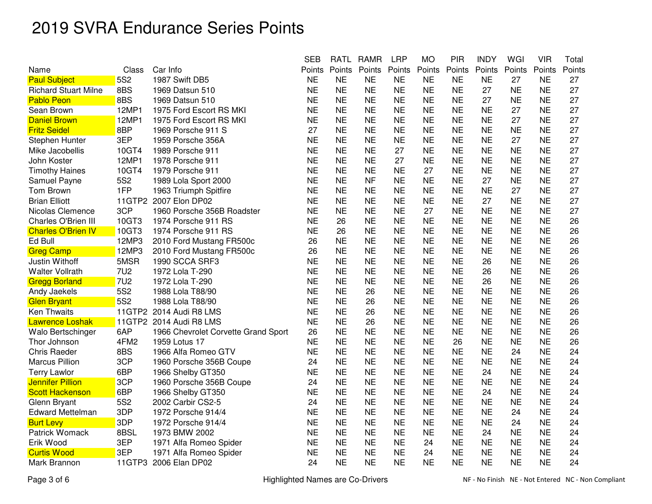|                             |                 |                                     | <b>SEB</b> | <b>RATL</b> | <b>RAMR</b> | <b>LRP</b> | <b>MO</b> | <b>PIR</b> | <b>INDY</b> | WGI       | <b>VIR</b> | Total  |
|-----------------------------|-----------------|-------------------------------------|------------|-------------|-------------|------------|-----------|------------|-------------|-----------|------------|--------|
| Name                        | Class           | Car Info                            | Points     | Points      | Points      | Points     | Points    | Points     | Points      | Points    | Points     | Points |
| <b>Paul Subject</b>         | <b>5S2</b>      | 1987 Swift DB5                      | <b>NE</b>  | <b>NE</b>   | <b>NE</b>   | <b>NE</b>  | <b>NE</b> | <b>NE</b>  | <b>NE</b>   | 27        | <b>NE</b>  | 27     |
| <b>Richard Stuart Milne</b> | 8BS             | 1969 Datsun 510                     | <b>NE</b>  | <b>NE</b>   | <b>NE</b>   | <b>NE</b>  | <b>NE</b> | <b>NE</b>  | 27          | <b>NE</b> | <b>NE</b>  | 27     |
| <b>Pablo Peon</b>           | 8BS             | 1969 Datsun 510                     | <b>NE</b>  | <b>NE</b>   | <b>NE</b>   | <b>NE</b>  | <b>NE</b> | <b>NE</b>  | 27          | <b>NE</b> | <b>NE</b>  | 27     |
| Sean Brown                  | 12MP1           | 1975 Ford Escort RS MKI             | <b>NE</b>  | <b>NE</b>   | <b>NE</b>   | <b>NE</b>  | <b>NE</b> | <b>NE</b>  | <b>NE</b>   | 27        | <b>NE</b>  | 27     |
| <b>Daniel Brown</b>         | 12MP1           | 1975 Ford Escort RS MKI             | <b>NE</b>  | <b>NE</b>   | <b>NE</b>   | <b>NE</b>  | <b>NE</b> | <b>NE</b>  | <b>NE</b>   | 27        | <b>NE</b>  | 27     |
| <b>Fritz Seidel</b>         | 8BP             | 1969 Porsche 911 S                  | 27         | <b>NE</b>   | <b>NE</b>   | <b>NE</b>  | <b>NE</b> | <b>NE</b>  | <b>NE</b>   | <b>NE</b> | <b>NE</b>  | 27     |
| Stephen Hunter              | 3EP             | 1959 Porsche 356A                   | <b>NE</b>  | <b>NE</b>   | <b>NE</b>   | <b>NE</b>  | <b>NE</b> | <b>NE</b>  | <b>NE</b>   | 27        | <b>NE</b>  | 27     |
| Mike Jacobellis             | 10GT4           | 1989 Porsche 911                    | <b>NE</b>  | <b>NE</b>   | <b>NE</b>   | 27         | <b>NE</b> | <b>NE</b>  | <b>NE</b>   | <b>NE</b> | <b>NE</b>  | 27     |
| John Koster                 | 12MP1           | 1978 Porsche 911                    | <b>NE</b>  | <b>NE</b>   | <b>NE</b>   | 27         | <b>NE</b> | <b>NE</b>  | <b>NE</b>   | <b>NE</b> | <b>NE</b>  | 27     |
| <b>Timothy Haines</b>       | 10GT4           | 1979 Porsche 911                    | <b>NE</b>  | <b>NE</b>   | <b>NE</b>   | <b>NE</b>  | 27        | <b>NE</b>  | <b>NE</b>   | <b>NE</b> | <b>NE</b>  | 27     |
| Samuel Payne                | 5S <sub>2</sub> | 1989 Lola Sport 2000                | <b>NE</b>  | <b>NE</b>   | <b>NF</b>   | <b>NE</b>  | <b>NE</b> | <b>NE</b>  | 27          | <b>NE</b> | <b>NE</b>  | 27     |
| Tom Brown                   | 1FP             | 1963 Triumph Spitfire               | <b>NE</b>  | <b>NE</b>   | <b>NE</b>   | <b>NE</b>  | <b>NE</b> | <b>NE</b>  | <b>NE</b>   | 27        | <b>NE</b>  | 27     |
| <b>Brian Elliott</b>        | 11GTP2          | 2007 Elon DP02                      | <b>NE</b>  | <b>NE</b>   | <b>NE</b>   | <b>NE</b>  | <b>NE</b> | <b>NE</b>  | 27          | <b>NE</b> | <b>NE</b>  | 27     |
| Nicolas Clemence            | 3CP             | 1960 Porsche 356B Roadster          | <b>NE</b>  | <b>NE</b>   | <b>NE</b>   | <b>NE</b>  | 27        | <b>NE</b>  | <b>NE</b>   | <b>NE</b> | <b>NE</b>  | 27     |
| Charles O'Brien III         | 10GT3           | 1974 Porsche 911 RS                 | <b>NE</b>  | 26          | <b>NE</b>   | <b>NE</b>  | <b>NE</b> | <b>NE</b>  | <b>NE</b>   | <b>NE</b> | <b>NE</b>  | 26     |
| <b>Charles O'Brien IV</b>   | 10GT3           | 1974 Porsche 911 RS                 | <b>NE</b>  | 26          | <b>NE</b>   | <b>NE</b>  | <b>NE</b> | <b>NE</b>  | <b>NE</b>   | <b>NE</b> | <b>NE</b>  | 26     |
| Ed Bull                     | 12MP3           | 2010 Ford Mustang FR500c            | 26         | <b>NE</b>   | <b>NE</b>   | <b>NE</b>  | <b>NE</b> | <b>NE</b>  | <b>NE</b>   | <b>NE</b> | <b>NE</b>  | 26     |
| <b>Greg Camp</b>            | 12MP3           | 2010 Ford Mustang FR500c            | 26         | <b>NE</b>   | <b>NE</b>   | <b>NE</b>  | <b>NE</b> | <b>NE</b>  | <b>NE</b>   | <b>NE</b> | <b>NE</b>  | 26     |
| Justin Withoff              | 5MSR            | 1990 SCCA SRF3                      | <b>NE</b>  | <b>NE</b>   | <b>NE</b>   | <b>NE</b>  | <b>NE</b> | <b>NE</b>  | 26          | <b>NE</b> | <b>NE</b>  | 26     |
| <b>Walter Vollrath</b>      | <b>7U2</b>      | 1972 Lola T-290                     | <b>NE</b>  | <b>NE</b>   | <b>NE</b>   | <b>NE</b>  | <b>NE</b> | <b>NE</b>  | 26          | <b>NE</b> | <b>NE</b>  | 26     |
| <b>Gregg Borland</b>        | <b>7U2</b>      | 1972 Lola T-290                     | <b>NE</b>  | <b>NE</b>   | <b>NE</b>   | <b>NE</b>  | <b>NE</b> | <b>NE</b>  | 26          | <b>NE</b> | <b>NE</b>  | 26     |
| Andy Jaekels                | <b>5S2</b>      | 1988 Lola T88/90                    | <b>NE</b>  | <b>NE</b>   | 26          | <b>NE</b>  | <b>NE</b> | <b>NE</b>  | <b>NE</b>   | <b>NE</b> | <b>NE</b>  | 26     |
| <b>Glen Bryant</b>          | <b>5S2</b>      | 1988 Lola T88/90                    | <b>NE</b>  | <b>NE</b>   | 26          | <b>NE</b>  | <b>NE</b> | <b>NE</b>  | <b>NE</b>   | <b>NE</b> | <b>NE</b>  | 26     |
| <b>Ken Thwaits</b>          | 11GTP2          | 2014 Audi R8 LMS                    | <b>NE</b>  | <b>NE</b>   | 26          | <b>NE</b>  | <b>NE</b> | <b>NE</b>  | <b>NE</b>   | <b>NE</b> | <b>NE</b>  | 26     |
| <b>Lawrence Loshak</b>      | 11GTP2          | 2014 Audi R8 LMS                    | <b>NE</b>  | <b>NE</b>   | 26          | <b>NE</b>  | <b>NE</b> | <b>NE</b>  | <b>NE</b>   | <b>NE</b> | <b>NE</b>  | 26     |
| Walo Bertschinger           | 6AP             | 1966 Chevrolet Corvette Grand Sport | 26         | <b>NE</b>   | <b>NE</b>   | <b>NE</b>  | <b>NE</b> | <b>NE</b>  | <b>NE</b>   | <b>NE</b> | <b>NE</b>  | 26     |
| Thor Johnson                | 4FM2            | 1959 Lotus 17                       | <b>NE</b>  | <b>NE</b>   | <b>NE</b>   | <b>NE</b>  | <b>NE</b> | 26         | <b>NE</b>   | <b>NE</b> | <b>NE</b>  | 26     |
| <b>Chris Raeder</b>         | 8BS             | 1966 Alfa Romeo GTV                 | <b>NE</b>  | <b>NE</b>   | <b>NE</b>   | <b>NE</b>  | <b>NE</b> | <b>NE</b>  | <b>NE</b>   | 24        | <b>NE</b>  | 24     |
| <b>Marcus Pillion</b>       | 3CP             | 1960 Porsche 356B Coupe             | 24         | <b>NE</b>   | <b>NE</b>   | <b>NE</b>  | <b>NE</b> | <b>NE</b>  | <b>NE</b>   | <b>NE</b> | <b>NE</b>  | 24     |
| <b>Terry Lawlor</b>         | 6BP             | 1966 Shelby GT350                   | <b>NE</b>  | <b>NE</b>   | <b>NE</b>   | <b>NE</b>  | <b>NE</b> | <b>NE</b>  | 24          | NE        | <b>NE</b>  | 24     |
| <b>Jennifer Pillion</b>     | 3CP             | 1960 Porsche 356B Coupe             | 24         | <b>NE</b>   | <b>NE</b>   | <b>NE</b>  | <b>NE</b> | <b>NE</b>  | <b>NE</b>   | <b>NE</b> | <b>NE</b>  | 24     |
| <b>Scott Hackenson</b>      | 6BP             | 1966 Shelby GT350                   | <b>NE</b>  | <b>NE</b>   | <b>NE</b>   | <b>NE</b>  | <b>NE</b> | <b>NE</b>  | 24          | <b>NE</b> | <b>NE</b>  | 24     |
| Glenn Bryant                | <b>5S2</b>      | 2002 Carbir CS2-5                   | 24         | <b>NE</b>   | <b>NE</b>   | <b>NE</b>  | <b>NE</b> | <b>NE</b>  | <b>NE</b>   | <b>NE</b> | <b>NE</b>  | 24     |
| <b>Edward Mettelman</b>     | 3DP             | 1972 Porsche 914/4                  | <b>NE</b>  | <b>NE</b>   | <b>NE</b>   | <b>NE</b>  | <b>NE</b> | <b>NE</b>  | <b>NE</b>   | 24        | <b>NE</b>  | 24     |
| <b>Burt Levy</b>            | 3DP             | 1972 Porsche 914/4                  | <b>NE</b>  | <b>NE</b>   | <b>NE</b>   | <b>NE</b>  | <b>NE</b> | <b>NE</b>  | <b>NE</b>   | 24        | <b>NE</b>  | 24     |
| Patrick Womack              | 8BSL            | 1973 BMW 2002                       | <b>NE</b>  | <b>NE</b>   | <b>NE</b>   | <b>NE</b>  | <b>NE</b> | <b>NE</b>  | 24          | <b>NE</b> | <b>NE</b>  | 24     |
| Erik Wood                   | 3EP             | 1971 Alfa Romeo Spider              | <b>NE</b>  | <b>NE</b>   | <b>NE</b>   | <b>NE</b>  | 24        | <b>NE</b>  | <b>NE</b>   | <b>NE</b> | <b>NE</b>  | 24     |
| <b>Curtis Wood</b>          | 3EP             | 1971 Alfa Romeo Spider              | <b>NE</b>  | <b>NE</b>   | <b>NE</b>   | <b>NE</b>  | 24        | <b>NE</b>  | <b>NE</b>   | <b>NE</b> | <b>NE</b>  | 24     |
| Mark Brannon                | 11GTP3          | 2006 Elan DP02                      | 24         | <b>NE</b>   | <b>NE</b>   | <b>NE</b>  | <b>NE</b> | <b>NE</b>  | <b>NE</b>   | <b>NE</b> | <b>NE</b>  | 24     |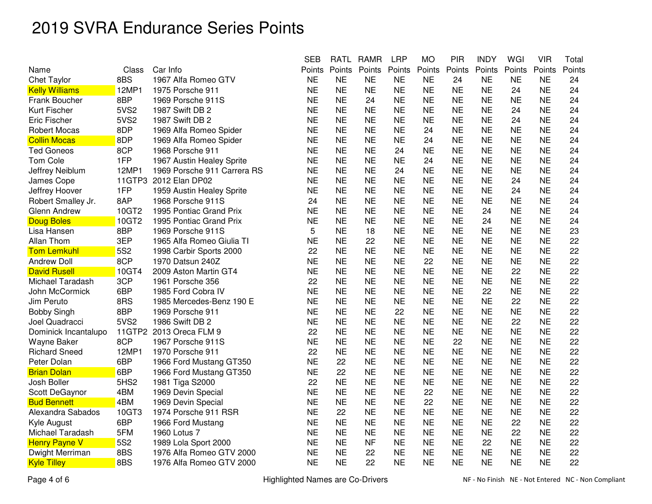|                       |                  |                             | <b>SEB</b> | <b>RATL</b> | <b>RAMR</b> | <b>LRP</b> | <b>MO</b> | <b>PIR</b> | <b>INDY</b> | WGI       | <b>VIR</b> | Total  |
|-----------------------|------------------|-----------------------------|------------|-------------|-------------|------------|-----------|------------|-------------|-----------|------------|--------|
| Name                  | Class            | Car Info                    | Points     | Points      | Points      | Points     | Points    | Points     | Points      | Points    | Points     | Points |
| <b>Chet Taylor</b>    | 8BS              | 1967 Alfa Romeo GTV         | <b>NE</b>  | <b>NE</b>   | <b>NE</b>   | <b>NE</b>  | <b>NE</b> | 24         | <b>NE</b>   | <b>NE</b> | <b>NE</b>  | 24     |
| <b>Kelly Williams</b> | 12MP1            | 1975 Porsche 911            | <b>NE</b>  | <b>NE</b>   | <b>NE</b>   | <b>NE</b>  | <b>NE</b> | <b>NE</b>  | <b>NE</b>   | 24        | <b>NE</b>  | 24     |
| Frank Boucher         | 8BP              | 1969 Porsche 911S           | <b>NE</b>  | <b>NE</b>   | 24          | <b>NE</b>  | <b>NE</b> | <b>NE</b>  | <b>NE</b>   | <b>NE</b> | <b>NE</b>  | 24     |
| Kurt Fischer          | <b>5VS2</b>      | 1987 Swift DB 2             | <b>NE</b>  | <b>NE</b>   | <b>NE</b>   | <b>NE</b>  | <b>NE</b> | <b>NE</b>  | <b>NE</b>   | 24        | <b>NE</b>  | 24     |
| <b>Eric Fischer</b>   | 5VS2             | 1987 Swift DB 2             | <b>NE</b>  | <b>NE</b>   | <b>NE</b>   | <b>NE</b>  | <b>NE</b> | <b>NE</b>  | <b>NE</b>   | 24        | <b>NE</b>  | 24     |
| <b>Robert Mocas</b>   | 8DP              | 1969 Alfa Romeo Spider      | <b>NE</b>  | <b>NE</b>   | <b>NE</b>   | <b>NE</b>  | 24        | <b>NE</b>  | <b>NE</b>   | <b>NE</b> | <b>NE</b>  | 24     |
| <b>Collin Mocas</b>   | 8DP              | 1969 Alfa Romeo Spider      | <b>NE</b>  | <b>NE</b>   | <b>NE</b>   | <b>NE</b>  | 24        | <b>NE</b>  | <b>NE</b>   | <b>NE</b> | <b>NE</b>  | 24     |
| <b>Ted Goneos</b>     | 8CP              | 1968 Porsche 911            | <b>NE</b>  | <b>NE</b>   | <b>NE</b>   | 24         | <b>NE</b> | <b>NE</b>  | <b>NE</b>   | <b>NE</b> | <b>NE</b>  | 24     |
| Tom Cole              | 1FP              | 1967 Austin Healey Sprite   | <b>NE</b>  | <b>NE</b>   | <b>NE</b>   | <b>NE</b>  | 24        | <b>NE</b>  | <b>NE</b>   | <b>NE</b> | <b>NE</b>  | 24     |
| Jeffrey Neiblum       | 12MP1            | 1969 Porsche 911 Carrera RS | <b>NE</b>  | <b>NE</b>   | <b>NE</b>   | 24         | <b>NE</b> | <b>NE</b>  | <b>NE</b>   | <b>NE</b> | <b>NE</b>  | 24     |
| James Cope            | 11GTP3           | 2012 Elan DP02              | <b>NE</b>  | <b>NE</b>   | <b>NE</b>   | <b>NE</b>  | <b>NE</b> | <b>NE</b>  | <b>NE</b>   | 24        | <b>NE</b>  | 24     |
| Jeffrey Hoover        | 1FP              | 1959 Austin Healey Sprite   | <b>NE</b>  | <b>NE</b>   | <b>NE</b>   | <b>NE</b>  | <b>NE</b> | <b>NE</b>  | <b>NE</b>   | 24        | <b>NE</b>  | 24     |
| Robert Smalley Jr.    | 8AP              | 1968 Porsche 911S           | 24         | <b>NE</b>   | <b>NE</b>   | <b>NE</b>  | <b>NE</b> | <b>NE</b>  | <b>NE</b>   | <b>NE</b> | <b>NE</b>  | 24     |
| <b>Glenn Andrew</b>   | 10GT2            | 1995 Pontiac Grand Prix     | <b>NE</b>  | <b>NE</b>   | <b>NE</b>   | <b>NE</b>  | <b>NE</b> | <b>NE</b>  | 24          | <b>NE</b> | <b>NE</b>  | 24     |
| <b>Doug Boles</b>     | 10GT2            | 1995 Pontiac Grand Prix     | <b>NE</b>  | <b>NE</b>   | <b>NE</b>   | <b>NE</b>  | <b>NE</b> | <b>NE</b>  | 24          | <b>NE</b> | <b>NE</b>  | 24     |
| Lisa Hansen           | 8BP              | 1969 Porsche 911S           | 5          | <b>NE</b>   | 18          | <b>NE</b>  | <b>NE</b> | <b>NE</b>  | <b>NE</b>   | <b>NE</b> | <b>NE</b>  | 23     |
| Allan Thom            | 3EP              | 1965 Alfa Romeo Giulia TI   | <b>NE</b>  | <b>NE</b>   | 22          | <b>NE</b>  | <b>NE</b> | <b>NE</b>  | <b>NE</b>   | <b>NE</b> | <b>NE</b>  | 22     |
| <b>Tom Lemkuhl</b>    | 5S2              | 1998 Carbir Sports 2000     | 22         | <b>NE</b>   | <b>NE</b>   | <b>NE</b>  | <b>NE</b> | <b>NE</b>  | NE          | ΝE        | <b>NE</b>  | 22     |
| <b>Andrew Doll</b>    | 8CP              | 1970 Datsun 240Z            | <b>NE</b>  | <b>NE</b>   | <b>NE</b>   | <b>NE</b>  | 22        | <b>NE</b>  | <b>NE</b>   | <b>NE</b> | <b>NE</b>  | 22     |
| <b>David Rusell</b>   | 10GT4            | 2009 Aston Martin GT4       | <b>NE</b>  | <b>NE</b>   | <b>NE</b>   | <b>NE</b>  | <b>NE</b> | <b>NE</b>  | <b>NE</b>   | 22        | <b>NE</b>  | 22     |
| Michael Taradash      | 3CP              | 1961 Porsche 356            | 22         | <b>NE</b>   | <b>NE</b>   | <b>NE</b>  | <b>NE</b> | <b>NE</b>  | <b>NE</b>   | <b>NE</b> | <b>NE</b>  | 22     |
| John McCormick        | 6BP              | 1985 Ford Cobra IV          | <b>NE</b>  | <b>NE</b>   | <b>NE</b>   | <b>NE</b>  | <b>NE</b> | <b>NE</b>  | 22          | <b>NE</b> | <b>NE</b>  | 22     |
| Jim Peruto            | 8RS              | 1985 Mercedes-Benz 190 E    | <b>NE</b>  | <b>NE</b>   | <b>NE</b>   | <b>NE</b>  | <b>NE</b> | <b>NE</b>  | <b>NE</b>   | 22        | <b>NE</b>  | 22     |
| <b>Bobby Singh</b>    | 8BP              | 1969 Porsche 911            | <b>NE</b>  | <b>NE</b>   | <b>NE</b>   | 22         | <b>NE</b> | <b>NE</b>  | <b>NE</b>   | <b>NE</b> | NE         | 22     |
| Joel Quadracci        | 5VS2             | 1986 Swift DB 2             | <b>NE</b>  | <b>NE</b>   | <b>NE</b>   | <b>NE</b>  | <b>NE</b> | <b>NE</b>  | <b>NE</b>   | 22        | <b>NE</b>  | 22     |
| Dominick Incantalupo  | 11GTP2           | 2013 Oreca FLM 9            | 22         | <b>NE</b>   | <b>NE</b>   | <b>NE</b>  | <b>NE</b> | <b>NE</b>  | <b>NE</b>   | <b>NE</b> | <b>NE</b>  | 22     |
| Wayne Baker           | 8CP              | 1967 Porsche 911S           | <b>NE</b>  | <b>NE</b>   | <b>NE</b>   | <b>NE</b>  | <b>NE</b> | 22         | <b>NE</b>   | <b>NE</b> | <b>NE</b>  | 22     |
| <b>Richard Sneed</b>  | 12MP1            | 1970 Porsche 911            | 22         | <b>NE</b>   | <b>NE</b>   | <b>NE</b>  | <b>NE</b> | <b>NE</b>  | <b>NE</b>   | <b>NE</b> | <b>NE</b>  | 22     |
| Peter Dolan           | 6BP              | 1966 Ford Mustang GT350     | <b>NE</b>  | 22          | <b>NE</b>   | <b>NE</b>  | <b>NE</b> | <b>NE</b>  | <b>NE</b>   | <b>NE</b> | <b>NE</b>  | 22     |
| <b>Brian Dolan</b>    | 6BP              | 1966 Ford Mustang GT350     | <b>NE</b>  | 22          | <b>NE</b>   | NE.        | <b>NE</b> | <b>NE</b>  | <b>NE</b>   | <b>NE</b> | <b>NE</b>  | 22     |
| Josh Boller           | 5HS <sub>2</sub> | 1981 Tiga S2000             | 22         | <b>NE</b>   | <b>NE</b>   | <b>NE</b>  | <b>NE</b> | <b>NE</b>  | <b>NE</b>   | <b>NE</b> | <b>NE</b>  | 22     |
| Scott DeGaynor        | 4BM              | 1969 Devin Special          | <b>NE</b>  | <b>NE</b>   | <b>NE</b>   | <b>NE</b>  | 22        | <b>NE</b>  | <b>NE</b>   | <b>NE</b> | <b>NE</b>  | 22     |
| <b>Bud Bennett</b>    | 4BM              | 1969 Devin Special          | <b>NE</b>  | <b>NE</b>   | <b>NE</b>   | <b>NE</b>  | 22        | <b>NE</b>  | <b>NE</b>   | <b>NE</b> | <b>NE</b>  | 22     |
| Alexandra Sabados     | 10GT3            | 1974 Porsche 911 RSR        | <b>NE</b>  | 22          | <b>NE</b>   | <b>NE</b>  | <b>NE</b> | <b>NE</b>  | <b>NE</b>   | <b>NE</b> | <b>NE</b>  | 22     |
| Kyle August           | 6BP              | 1966 Ford Mustang           | <b>NE</b>  | <b>NE</b>   | <b>NE</b>   | <b>NE</b>  | <b>NE</b> | <b>NE</b>  | <b>NE</b>   | 22        | <b>NE</b>  | 22     |
| Michael Taradash      | 5FM              | 1960 Lotus 7                | <b>NE</b>  | <b>NE</b>   | <b>NE</b>   | <b>NE</b>  | <b>NE</b> | <b>NE</b>  | <b>NE</b>   | 22        | <b>NE</b>  | 22     |
| <b>Henry Payne V</b>  | 5S2              | 1989 Lola Sport 2000        | <b>NE</b>  | <b>NE</b>   | <b>NF</b>   | <b>NE</b>  | <b>NE</b> | <b>NE</b>  | 22          | <b>NE</b> | <b>NE</b>  | 22     |
| Dwight Merriman       | 8BS              | 1976 Alfa Romeo GTV 2000    | <b>NE</b>  | <b>NE</b>   | 22          | <b>NE</b>  | <b>NE</b> | <b>NE</b>  | <b>NE</b>   | <b>NE</b> | <b>NE</b>  | 22     |
| <b>Kyle Tilley</b>    | 8BS              | 1976 Alfa Romeo GTV 2000    | <b>NE</b>  | <b>NE</b>   | 22          | <b>NE</b>  | <b>NE</b> | <b>NE</b>  | <b>NE</b>   | <b>NE</b> | <b>NE</b>  | 22     |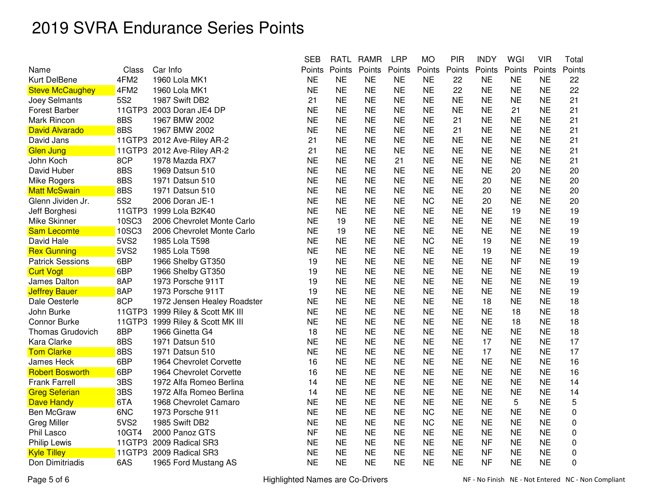|                         |        |                             | <b>SEB</b> | <b>RATL</b> | <b>RAMR</b> | <b>LRP</b> | <b>MO</b> | <b>PIR</b> | <b>INDY</b> | WGI       | <b>VIR</b> | Total  |
|-------------------------|--------|-----------------------------|------------|-------------|-------------|------------|-----------|------------|-------------|-----------|------------|--------|
| Name                    | Class  | Car Info                    | Points     | Points      | Points      | Points     | Points    | Points     | Points      | Points    | Points     | Points |
| Kurt DelBene            | 4FM2   | 1960 Lola MK1               | <b>NE</b>  | <b>NE</b>   | <b>NE</b>   | <b>NE</b>  | <b>NE</b> | 22         | <b>NE</b>   | <b>NE</b> | <b>NE</b>  | 22     |
| <b>Steve McCaughey</b>  | 4FM2   | 1960 Lola MK1               | <b>NE</b>  | <b>NE</b>   | <b>NE</b>   | <b>NE</b>  | <b>NE</b> | 22         | <b>NE</b>   | <b>NE</b> | <b>NE</b>  | 22     |
| Joey Selmants           | 5S2    | 1987 Swift DB2              | 21         | <b>NE</b>   | <b>NE</b>   | <b>NE</b>  | <b>NE</b> | <b>NE</b>  | <b>NE</b>   | <b>NE</b> | <b>NE</b>  | 21     |
| <b>Forest Barber</b>    | 11GTP3 | 2003 Doran JE4 DP           | <b>NE</b>  | <b>NE</b>   | <b>NE</b>   | <b>NE</b>  | <b>NE</b> | <b>NE</b>  | <b>NE</b>   | 21        | <b>NE</b>  | 21     |
| Mark Rincon             | 8BS    | 1967 BMW 2002               | <b>NE</b>  | <b>NE</b>   | <b>NE</b>   | <b>NE</b>  | <b>NE</b> | 21         | <b>NE</b>   | <b>NE</b> | <b>NE</b>  | 21     |
| <b>David Alvarado</b>   | 8BS    | 1967 BMW 2002               | <b>NE</b>  | <b>NE</b>   | <b>NE</b>   | <b>NE</b>  | <b>NE</b> | 21         | <b>NE</b>   | <b>NE</b> | <b>NE</b>  | 21     |
| David Jans              |        | 11GTP3 2012 Ave-Riley AR-2  | 21         | <b>NE</b>   | <b>NE</b>   | <b>NE</b>  | <b>NE</b> | <b>NE</b>  | <b>NE</b>   | <b>NE</b> | <b>NE</b>  | 21     |
| Glen Jung               | 11GTP3 | 2012 Ave-Riley AR-2         | 21         | <b>NE</b>   | <b>NE</b>   | <b>NE</b>  | <b>NE</b> | <b>NE</b>  | <b>NE</b>   | <b>NE</b> | <b>NE</b>  | 21     |
| John Koch               | 8CP    | 1978 Mazda RX7              | <b>NE</b>  | <b>NE</b>   | <b>NE</b>   | 21         | <b>NE</b> | <b>NE</b>  | <b>NE</b>   | <b>NE</b> | <b>NE</b>  | 21     |
| David Huber             | 8BS    | 1969 Datsun 510             | <b>NE</b>  | <b>NE</b>   | <b>NE</b>   | <b>NE</b>  | <b>NE</b> | <b>NE</b>  | <b>NE</b>   | 20        | <b>NE</b>  | 20     |
| Mike Rogers             | 8BS    | 1971 Datsun 510             | <b>NE</b>  | <b>NE</b>   | <b>NE</b>   | <b>NE</b>  | <b>NE</b> | <b>NE</b>  | 20          | <b>NE</b> | <b>NE</b>  | 20     |
| <b>Matt McSwain</b>     | 8BS    | 1971 Datsun 510             | <b>NE</b>  | <b>NE</b>   | <b>NE</b>   | <b>NE</b>  | <b>NE</b> | <b>NE</b>  | 20          | <b>NE</b> | <b>NE</b>  | 20     |
| Glenn Jividen Jr.       | 5S2    | 2006 Doran JE-1             | <b>NE</b>  | <b>NE</b>   | <b>NE</b>   | <b>NE</b>  | <b>NC</b> | <b>NE</b>  | 20          | <b>NE</b> | <b>NE</b>  | 20     |
| Jeff Borghesi           | 11GTP3 | 1999 Lola B2K40             | <b>NE</b>  | <b>NE</b>   | <b>NE</b>   | <b>NE</b>  | <b>NE</b> | <b>NE</b>  | <b>NE</b>   | 19        | <b>NE</b>  | 19     |
| Mike Skinner            | 10SC3  | 2006 Chevrolet Monte Carlo  | <b>NE</b>  | 19          | <b>NE</b>   | <b>NE</b>  | <b>NE</b> | <b>NE</b>  | <b>NE</b>   | <b>NE</b> | <b>NE</b>  | 19     |
| <b>Sam Lecomte</b>      | 10SC3  | 2006 Chevrolet Monte Carlo  | <b>NE</b>  | 19          | <b>NE</b>   | <b>NE</b>  | <b>NE</b> | <b>NE</b>  | <b>NE</b>   | <b>NE</b> | <b>NE</b>  | 19     |
| David Hale              | 5VS2   | 1985 Lola T598              | <b>NE</b>  | <b>NE</b>   | <b>NE</b>   | <b>NE</b>  | <b>NC</b> | <b>NE</b>  | 19          | <b>NE</b> | <b>NE</b>  | 19     |
| <b>Rex Gunning</b>      | 5VS2   | 1985 Lola T598              | <b>NE</b>  | <b>NE</b>   | <b>NE</b>   | <b>NE</b>  | <b>NE</b> | <b>NE</b>  | 19          | <b>NE</b> | <b>NE</b>  | 19     |
| <b>Patrick Sessions</b> | 6BP    | 1966 Shelby GT350           | 19         | <b>NE</b>   | <b>NE</b>   | <b>NE</b>  | <b>NE</b> | <b>NE</b>  | <b>NE</b>   | <b>NF</b> | <b>NE</b>  | 19     |
| <b>Curt Vogt</b>        | 6BP    | 1966 Shelby GT350           | 19         | <b>NE</b>   | <b>NE</b>   | <b>NE</b>  | <b>NE</b> | <b>NE</b>  | <b>NE</b>   | <b>NE</b> | <b>NE</b>  | 19     |
| James Dalton            | 8AP    | 1973 Porsche 911T           | 19         | <b>NE</b>   | <b>NE</b>   | <b>NE</b>  | <b>NE</b> | <b>NE</b>  | <b>NE</b>   | <b>NE</b> | <b>NE</b>  | 19     |
| <b>Jeffrey Bauer</b>    | 8AP    | 1973 Porsche 911T           | 19         | <b>NE</b>   | <b>NE</b>   | <b>NE</b>  | <b>NE</b> | <b>NE</b>  | <b>NE</b>   | <b>NE</b> | <b>NE</b>  | 19     |
| Dale Oesterle           | 8CP    | 1972 Jensen Healey Roadster | <b>NE</b>  | <b>NE</b>   | <b>NE</b>   | <b>NE</b>  | <b>NE</b> | <b>NE</b>  | 18          | <b>NE</b> | <b>NE</b>  | 18     |
| John Burke              | 11GTP3 | 1999 Riley & Scott MK III   | <b>NE</b>  | <b>NE</b>   | <b>NE</b>   | <b>NE</b>  | <b>NE</b> | <b>NE</b>  | <b>NE</b>   | 18        | <b>NE</b>  | 18     |
| <b>Connor Burke</b>     | 11GTP3 | 1999 Riley & Scott MK III   | <b>NE</b>  | <b>NE</b>   | <b>NE</b>   | <b>NE</b>  | <b>NE</b> | <b>NE</b>  | <b>NE</b>   | 18        | <b>NE</b>  | 18     |
| Thomas Grudovich        | 8BP    | 1966 Ginetta G4             | 18         | <b>NE</b>   | <b>NE</b>   | <b>NE</b>  | <b>NE</b> | <b>NE</b>  | <b>NE</b>   | <b>NE</b> | <b>NE</b>  | 18     |
| Kara Clarke             | 8BS    | 1971 Datsun 510             | <b>NE</b>  | <b>NE</b>   | <b>NE</b>   | <b>NE</b>  | <b>NE</b> | <b>NE</b>  | 17          | <b>NE</b> | <b>NE</b>  | 17     |
| <b>Tom Clarke</b>       | 8BS    | 1971 Datsun 510             | <b>NE</b>  | <b>NE</b>   | <b>NE</b>   | <b>NE</b>  | <b>NE</b> | <b>NE</b>  | 17          | <b>NE</b> | <b>NE</b>  | 17     |
| James Heck              | 6BP    | 1964 Chevrolet Corvette     | 16         | <b>NE</b>   | <b>NE</b>   | <b>NE</b>  | <b>NE</b> | <b>NE</b>  | <b>NE</b>   | <b>NE</b> | <b>NE</b>  | 16     |
| <b>Robert Bosworth</b>  | 6BP    | 1964 Chevrolet Corvette     | 16         | <b>NE</b>   | <b>NE</b>   | <b>NE</b>  | <b>NE</b> | <b>NE</b>  | <b>NE</b>   | <b>NE</b> | <b>NE</b>  | 16     |
| <b>Frank Farrell</b>    | 3BS    | 1972 Alfa Romeo Berlina     | 14         | <b>NE</b>   | <b>NE</b>   | <b>NE</b>  | <b>NE</b> | <b>NE</b>  | <b>NE</b>   | <b>NE</b> | <b>NE</b>  | 14     |
| <b>Greg Seferian</b>    | 3BS    | 1972 Alfa Romeo Berlina     | 14         | <b>NE</b>   | <b>NE</b>   | <b>NE</b>  | <b>NE</b> | <b>NE</b>  | <b>NE</b>   | <b>NE</b> | <b>NE</b>  | 14     |
| <b>Dave Handy</b>       | 6TA    | 1968 Chevrolet Camaro       | <b>NE</b>  | <b>NE</b>   | <b>NE</b>   | <b>NE</b>  | <b>NE</b> | <b>NE</b>  | <b>NE</b>   | 5         | <b>NE</b>  | 5      |
| Ben McGraw              | 6NC    | 1973 Porsche 911            | <b>NE</b>  | <b>NE</b>   | <b>NE</b>   | <b>NE</b>  | <b>NC</b> | <b>NE</b>  | <b>NE</b>   | <b>NE</b> | <b>NE</b>  | 0      |
| <b>Greg Miller</b>      | 5VS2   | 1985 Swift DB2              | <b>NE</b>  | <b>NE</b>   | <b>NE</b>   | <b>NE</b>  | <b>NC</b> | <b>NE</b>  | <b>NE</b>   | <b>NE</b> | <b>NE</b>  | 0      |
| Phil Lasco              | 10GT4  | 2000 Panoz GTS              | <b>NF</b>  | <b>NE</b>   | <b>NE</b>   | <b>NE</b>  | <b>NE</b> | <b>NE</b>  | <b>NE</b>   | <b>NE</b> | <b>NE</b>  | 0      |
| <b>Philip Lewis</b>     | 11GTP3 | 2009 Radical SR3            | <b>NE</b>  | <b>NE</b>   | <b>NE</b>   | <b>NE</b>  | <b>NE</b> | <b>NE</b>  | <b>NF</b>   | <b>NE</b> | <b>NE</b>  | 0      |
| <b>Kyle Tilley</b>      | 11GTP3 | 2009 Radical SR3            | <b>NE</b>  | <b>NE</b>   | <b>NE</b>   | <b>NE</b>  | <b>NE</b> | <b>NE</b>  | <b>NF</b>   | <b>NE</b> | <b>NE</b>  | 0      |
| Don Dimitriadis         | 6AS    | 1965 Ford Mustang AS        | <b>NE</b>  | <b>NE</b>   | <b>NE</b>   | <b>NE</b>  | <b>NE</b> | <b>NE</b>  | <b>NF</b>   | <b>NE</b> | <b>NE</b>  | 0      |